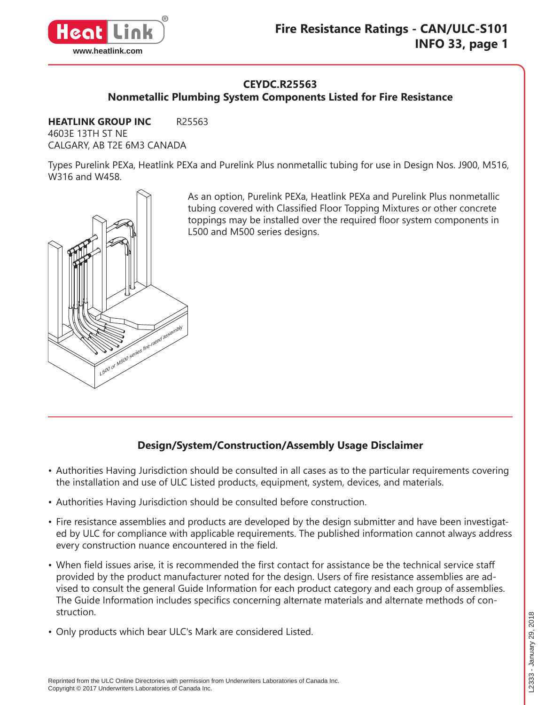

## **CEYDC.R25563**

**Nonmetallic Plumbing System Components Listed for Fire Resistance**

**HEATLINK GROUP INC** R25563 4603E 13TH ST NE CALGARY, AB T2E 6M3 CANADA

Types Purelink PEXa, Heatlink PEXa and Purelink Plus nonmetallic tubing for use in Design Nos. J900, M516, W316 and W458.



As an option, Purelink PEXa, Heatlink PEXa and Purelink Plus nonmetallic tubing covered with Classified Floor Topping Mixtures or other concrete toppings may be installed over the required floor system components in L500 and M500 series designs.

# **Design/System/Construction/Assembly Usage Disclaimer**

- Authorities Having Jurisdiction should be consulted in all cases as to the particular requirements covering the installation and use of ULC Listed products, equipment, system, devices, and materials.
- Authorities Having Jurisdiction should be consulted before construction.
- Fire resistance assemblies and products are developed by the design submitter and have been investigated by ULC for compliance with applicable requirements. The published information cannot always address every construction nuance encountered in the field.
- When field issues arise, it is recommended the first contact for assistance be the technical service staff provided by the product manufacturer noted for the design. Users of fire resistance assemblies are advised to consult the general Guide Information for each product category and each group of assemblies. The Guide Information includes specifics concerning alternate materials and alternate methods of construction.
- Only products which bear ULC's Mark are considered Listed.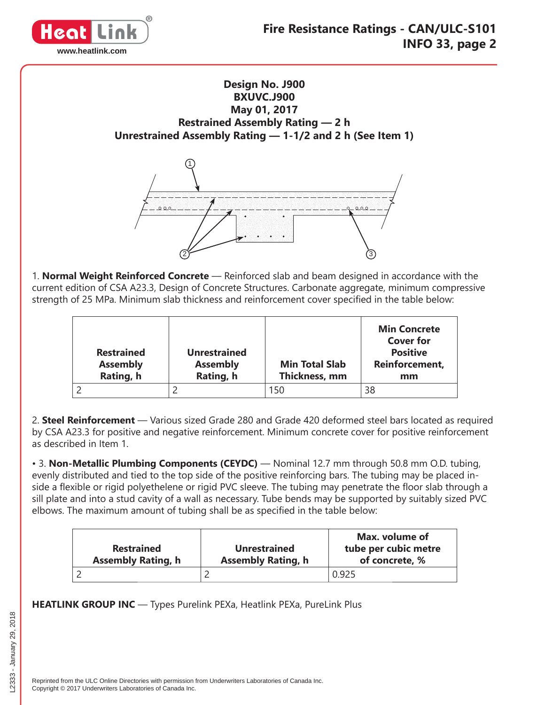

**Design No. J900 BXUVC.J900 May 01, 2017 Restrained Assembly Rating — 2 h Unrestrained Assembly Rating — 1-1/2 and 2 h (See Item 1)**



1. **Normal Weight Reinforced Concrete** — Reinforced slab and beam designed in accordance with the current edition of CSA A23.3, Design of Concrete Structures. Carbonate aggregate, minimum compressive strength of 25 MPa. Minimum slab thickness and reinforcement cover specified in the table below:

| <b>Restrained</b><br><b>Assembly</b><br>Rating, h | <b>Unrestrained</b><br><b>Assembly</b><br>Rating, h | <b>Min Total Slab</b><br>Thickness, mm | <b>Min Concrete</b><br><b>Cover for</b><br><b>Positive</b><br>Reinforcement,<br>mm |
|---------------------------------------------------|-----------------------------------------------------|----------------------------------------|------------------------------------------------------------------------------------|
|                                                   |                                                     | 150                                    | 38                                                                                 |

2. **Steel Reinforcement** — Various sized Grade 280 and Grade 420 deformed steel bars located as required by CSA A23.3 for positive and negative reinforcement. Minimum concrete cover for positive reinforcement as described in Item 1.

• 3. **Non-Metallic Plumbing Components (CEYDC)** — Nominal 12.7 mm through 50.8 mm O.D. tubing, evenly distributed and tied to the top side of the positive reinforcing bars. The tubing may be placed inside a flexible or rigid polyethelene or rigid PVC sleeve. The tubing may penetrate the floor slab through a sill plate and into a stud cavity of a wall as necessary. Tube bends may be supported by suitably sized PVC elbows. The maximum amount of tubing shall be as specified in the table below:

| <b>Restrained</b><br><b>Assembly Rating, h</b> | <b>Unrestrained</b><br><b>Assembly Rating, h</b> | Max. volume of<br>tube per cubic metre<br>of concrete, % |
|------------------------------------------------|--------------------------------------------------|----------------------------------------------------------|
|                                                |                                                  | 0.925                                                    |

**HEATLINK GROUP INC** — Types Purelink PEXa, Heatlink PEXa, PureLink Plus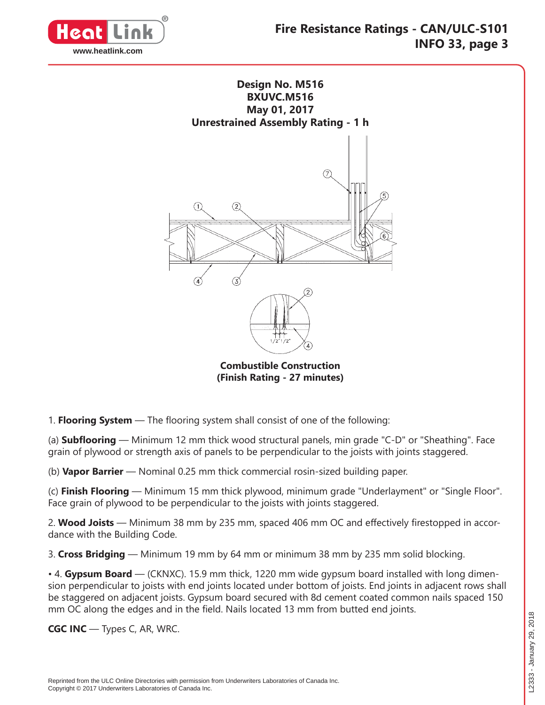



**Combustible Construction (Finish Rating - 27 minutes)**

1. **Flooring System** — The flooring system shall consist of one of the following:

(a) **Subflooring** — Minimum 12 mm thick wood structural panels, min grade "C-D" or "Sheathing". Face grain of plywood or strength axis of panels to be perpendicular to the joists with joints staggered.

(b) **Vapor Barrier** — Nominal 0.25 mm thick commercial rosin-sized building paper.

(c) **Finish Flooring** — Minimum 15 mm thick plywood, minimum grade "Underlayment" or "Single Floor". Face grain of plywood to be perpendicular to the joists with joints staggered.

2. Wood Joists — Minimum 38 mm by 235 mm, spaced 406 mm OC and effectively firestopped in accordance with the Building Code.

3. **Cross Bridging** — Minimum 19 mm by 64 mm or minimum 38 mm by 235 mm solid blocking.

• 4. **Gypsum Board** — (CKNXC). 15.9 mm thick, 1220 mm wide gypsum board installed with long dimension perpendicular to joists with end joints located under bottom of joists. End joints in adjacent rows shall be staggered on adjacent joists. Gypsum board secured with 8d cement coated common nails spaced 150 mm OC along the edges and in the field. Nails located 13 mm from butted end joints.

**CGC INC** — Types C, AR, WRC.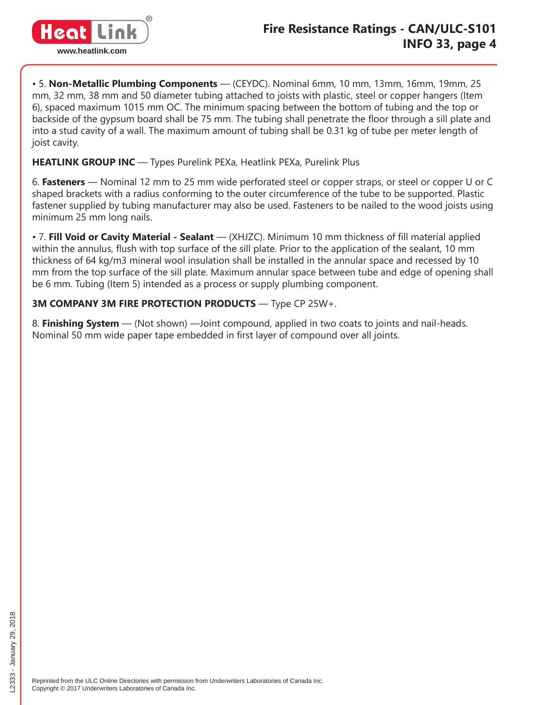

• 5. **Non-Metallic Plumbing Components** — (CEYDC). Nominal 6mm, 10 mm, 13mm, 16mm, 19mm, 25 mm, 32 mm, 38 mm and 50 diameter tubing attached to joists with plastic, steel or copper hangers (Item 6), spaced maximum 1015 mm OC. The minimum spacing between the bottom of tubing and the top or backside of the gypsum board shall be 75 mm. The tubing shall penetrate the floor through a sill plate and into a stud cavity of a wall. The maximum amount of tubing shall be 0.31 kg of tube per meter length of joist cavity.

**HEATLINK GROUP INC** — Types Purelink PEXa, Heatlink PEXa, Purelink Plus

6. **Fasteners** — Nominal 12 mm to 25 mm wide perforated steel or copper straps, or steel or copper U or C shaped brackets with a radius conforming to the outer circumference of the tube to be supported. Plastic fastener supplied by tubing manufacturer may also be used. Fasteners to be nailed to the wood joists using minimum 25 mm long nails.

• 7. **Fill Void or Cavity Material - Sealant** — (XHJZC). Minimum 10 mm thickness of fill material applied within the annulus, flush with top surface of the sill plate. Prior to the application of the sealant, 10 mm thickness of 64 kg/m3 mineral wool insulation shall be installed in the annular space and recessed by 10 mm from the top surface of the sill plate. Maximum annular space between tube and edge of opening shall be 6 mm. Tubing (Item 5) intended as a process or supply plumbing component.

## **3M COMPANY 3M FIRE PROTECTION PRODUCTS** — Type CP 25W+.

8. **Finishing System** — (Not shown) —Joint compound, applied in two coats to joints and nail-heads. Nominal 50 mm wide paper tape embedded in first layer of compound over all joints.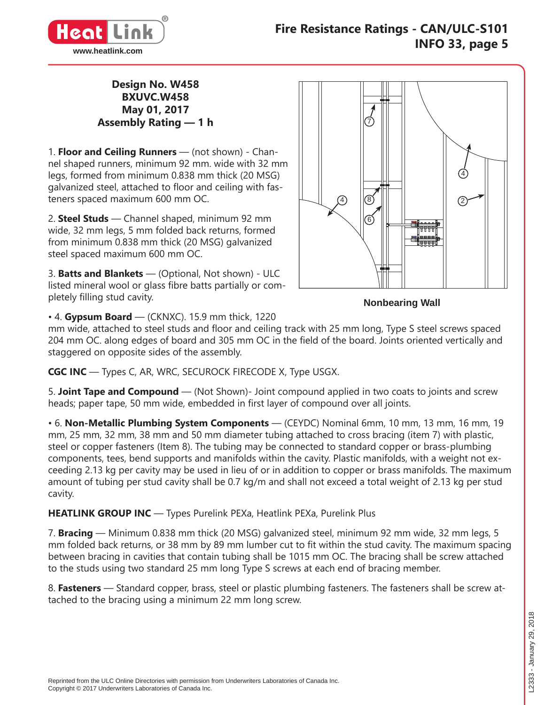

### **Design No. W458 BXUVC.W458 May 01, 2017 Assembly Rating — 1 h**

1. **Floor and Ceiling Runners** — (not shown) - Channel shaped runners, minimum 92 mm. wide with 32 mm legs, formed from minimum 0.838 mm thick (20 MSG) galvanized steel, attached to floor and ceiling with fasteners spaced maximum 600 mm OC.

2. **Steel Studs** — Channel shaped, minimum 92 mm wide, 32 mm legs, 5 mm folded back returns, formed from minimum 0.838 mm thick (20 MSG) galvanized steel spaced maximum 600 mm OC.

3. **Batts and Blankets** — (Optional, Not shown) - ULC listed mineral wool or glass fibre batts partially or completely filling stud cavity.



**Nonbearing Wall**

• 4. **Gypsum Board** — (CKNXC). 15.9 mm thick, 1220

mm wide, attached to steel studs and floor and ceiling track with 25 mm long, Type S steel screws spaced 204 mm OC. along edges of board and 305 mm OC in the field of the board. Joints oriented vertically and staggered on opposite sides of the assembly.

**CGC INC** — Types C, AR, WRC, SECUROCK FIRECODE X, Type USGX.

5. **Joint Tape and Compound** — (Not Shown)- Joint compound applied in two coats to joints and screw heads; paper tape, 50 mm wide, embedded in first layer of compound over all joints.

• 6. **Non-Metallic Plumbing System Components** — (CEYDC) Nominal 6mm, 10 mm, 13 mm, 16 mm, 19 mm, 25 mm, 32 mm, 38 mm and 50 mm diameter tubing attached to cross bracing (item 7) with plastic, steel or copper fasteners (Item 8). The tubing may be connected to standard copper or brass-plumbing components, tees, bend supports and manifolds within the cavity. Plastic manifolds, with a weight not exceeding 2.13 kg per cavity may be used in lieu of or in addition to copper or brass manifolds. The maximum amount of tubing per stud cavity shall be 0.7 kg/m and shall not exceed a total weight of 2.13 kg per stud cavity.

**HEATLINK GROUP INC** — Types Purelink PEXa, Heatlink PEXa, Purelink Plus

7. **Bracing** — Minimum 0.838 mm thick (20 MSG) galvanized steel, minimum 92 mm wide, 32 mm legs, 5 mm folded back returns, or 38 mm by 89 mm lumber cut to fit within the stud cavity. The maximum spacing between bracing in cavities that contain tubing shall be 1015 mm OC. The bracing shall be screw attached to the studs using two standard 25 mm long Type S screws at each end of bracing member.

8. **Fasteners** — Standard copper, brass, steel or plastic plumbing fasteners. The fasteners shall be screw attached to the bracing using a minimum 22 mm long screw.